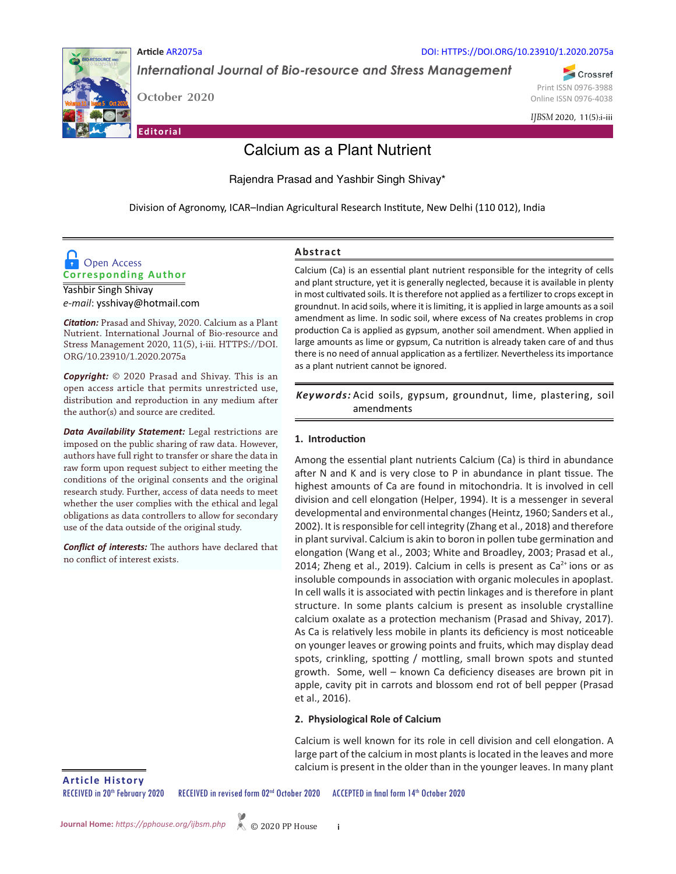

DOI: HTTPS://DOI.ORG/10.23910/1.2020.2075a

*International Journal of Bio-resource and Stress Management*

**October 2020** 

**Article** AR2075a

**Editorial**

Print ISSN 0976-3988 Online ISSN 0976-4038

Crossref

*IJBSM* 2020, 11(5):i-iii

# Calcium as a Plant Nutrient

Rajendra Prasad and Yashbir Singh Shivay\*

Division of Agronomy, ICAR–Indian Agricultural Research Institute, New Delhi (110 012), India



Yashbir Singh Shivay *e-mail*: ysshivay@hotmail.com

*Citation:* Prasad and Shivay, 2020. Calcium as a Plant Nutrient. International Journal of Bio-resource and Stress Management 2020, 11(5), i-iii. HTTPS://DOI. ORG/10.23910/1.2020.2075a

*Copyright:* © 2020 Prasad and Shivay. This is an open access article that permits unrestricted use, distribution and reproduction in any medium after the author(s) and source are credited.

*Data Availability Statement:* Legal restrictions are imposed on the public sharing of raw data. However, authors have full right to transfer or share the data in raw form upon request subject to either meeting the conditions of the original consents and the original research study. Further, access of data needs to meet whether the user complies with the ethical and legal obligations as data controllers to allow for secondary use of the data outside of the original study.

*Conflict of interests:* The authors have declared that no conflict of interest exists.

## **Abstract**

Calcium (Ca) is an essential plant nutrient responsible for the integrity of cells and plant structure, yet it is generally neglected, because it is available in plenty in most cultivated soils. It is therefore not applied as a fertilizer to crops except in groundnut. In acid soils, where it is limiting, it is applied in large amounts as a soil amendment as lime. In sodic soil, where excess of Na creates problems in crop production Ca is applied as gypsum, another soil amendment. When applied in large amounts as lime or gypsum, Ca nutrition is already taken care of and thus there is no need of annual application as a fertilizer. Nevertheless its importance as a plant nutrient cannot be ignored.

Keywords: Acid soils, gypsum, groundnut, lime, plastering, soil amendments

## **1. Introduction**

Among the essential plant nutrients Calcium (Ca) is third in abundance after N and K and is very close to P in abundance in plant tissue. The highest amounts of Ca are found in mitochondria. It is involved in cell division and cell elongation (Helper, 1994). It is a messenger in several developmental and environmental changes (Heintz, 1960; Sanders et al., 2002). It is responsible for cell integrity (Zhang et al., 2018) and therefore in plant survival. Calcium is akin to boron in pollen tube germination and elongation (Wang et al., 2003; White and Broadley, 2003; Prasad et al., 2014; Zheng et al., 2019). Calcium in cells is present as  $Ca<sup>2+</sup>$  ions or as insoluble compounds in association with organic molecules in apoplast. In cell walls it is associated with pectin linkages and is therefore in plant structure. In some plants calcium is present as insoluble crystalline calcium oxalate as a protection mechanism (Prasad and Shivay, 2017). As Ca is relatively less mobile in plants its deficiency is most noticeable on younger leaves or growing points and fruits, which may display dead spots, crinkling, spotting / mottling, small brown spots and stunted growth. Some, well – known Ca deficiency diseases are brown pit in apple, cavity pit in carrots and blossom end rot of bell pepper (Prasad et al., 2016).

## **2. Physiological Role of Calcium**

Calcium is well known for its role in cell division and cell elongation. A large part of the calcium in most plants is located in the leaves and more calcium is present in the older than in the younger leaves. In many plant

**Article History**

RECEIVED in 20<sup>th</sup> February 2020 RECEIVED in revised form 02<sup>nd</sup> October 2020 ACCEPTED in final form 14<sup>th</sup> October 2020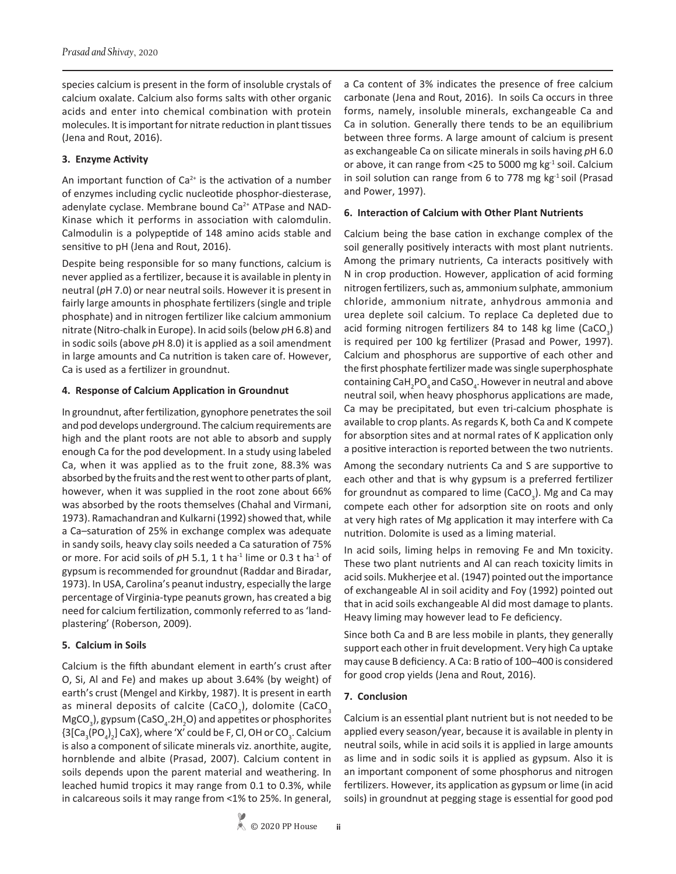species calcium is present in the form of insoluble crystals of calcium oxalate. Calcium also forms salts with other organic acids and enter into chemical combination with protein molecules. It is important for nitrate reduction in plant tissues (Jena and Rout, 2016).

## **3. Enzyme Activity**

An important function of  $Ca<sup>2+</sup>$  is the activation of a number of enzymes including cyclic nucleotide phosphor-diesterase, adenylate cyclase. Membrane bound Ca<sup>2+</sup> ATPase and NAD-Kinase which it performs in association with calomdulin. Calmodulin is a polypeptide of 148 amino acids stable and sensitive to pH (Jena and Rout, 2016).

Despite being responsible for so many functions, calcium is never applied as a fertilizer, because it is available in plenty in neutral (*p*H 7.0) or near neutral soils. However it is present in fairly large amounts in phosphate fertilizers (single and triple phosphate) and in nitrogen fertilizer like calcium ammonium nitrate (Nitro-chalk in Europe). In acid soils (below *p*H 6.8) and in sodic soils (above *p*H 8.0) it is applied as a soil amendment in large amounts and Ca nutrition is taken care of. However, Ca is used as a fertilizer in groundnut.

## **4. Response of Calcium Application in Groundnut**

In groundnut, after fertilization, gynophore penetrates the soil and pod develops underground. The calcium requirements are high and the plant roots are not able to absorb and supply enough Ca for the pod development. In a study using labeled Ca, when it was applied as to the fruit zone, 88.3% was absorbed by the fruits and the rest went to other parts of plant, however, when it was supplied in the root zone about 66% was absorbed by the roots themselves (Chahal and Virmani, 1973). Ramachandran and Kulkarni (1992) showed that, while a Ca–saturation of 25% in exchange complex was adequate in sandy soils, heavy clay soils needed a Ca saturation of 75% or more. For acid soils of  $pH$  5.1, 1 t ha<sup>-1</sup> lime or 0.3 t ha<sup>-1</sup> of gypsum is recommended for groundnut (Raddar and Biradar, 1973). In USA, Carolina's peanut industry, especially the large percentage of Virginia-type peanuts grown, has created a big need for calcium fertilization, commonly referred to as 'landplastering' (Roberson, 2009).

# **5. Calcium in Soils**

Calcium is the fifth abundant element in earth's crust after O, Si, Al and Fe) and makes up about 3.64% (by weight) of earth's crust (Mengel and Kirkby, 1987). It is present in earth as mineral deposits of calcite (CaCO<sub>3</sub>), dolomite (CaCO<sub>3</sub>  $MgCO<sub>3</sub>$ ), gypsum (CaSO<sub>4</sub>.2H<sub>2</sub>O) and appetites or phosphorites  ${3[Ca_{3}(PO_{4})_{2}]}$  CaX}, where 'X' could be F, Cl, OH or CO<sub>3</sub>. Calcium is also a component of silicate minerals viz. anorthite, augite, hornblende and albite (Prasad, 2007). Calcium content in soils depends upon the parent material and weathering. In leached humid tropics it may range from 0.1 to 0.3%, while in calcareous soils it may range from <1% to 25%. In general,

a Ca content of 3% indicates the presence of free calcium carbonate (Jena and Rout, 2016). In soils Ca occurs in three forms, namely, insoluble minerals, exchangeable Ca and Ca in solution. Generally there tends to be an equilibrium between three forms. A large amount of calcium is present as exchangeable Ca on silicate minerals in soils having *p*H 6.0 or above, it can range from <25 to 5000 mg kg-1 soil. Calcium in soil solution can range from 6 to 778 mg  $kg<sup>-1</sup>$  soil (Prasad and Power, 1997).

## **6. Interaction of Calcium with Other Plant Nutrients**

Calcium being the base cation in exchange complex of the soil generally positively interacts with most plant nutrients. Among the primary nutrients, Ca interacts positively with N in crop production. However, application of acid forming nitrogen fertilizers, such as, ammonium sulphate, ammonium chloride, ammonium nitrate, anhydrous ammonia and urea deplete soil calcium. To replace Ca depleted due to acid forming nitrogen fertilizers 84 to 148 kg lime (CaCO<sub>3</sub>) is required per 100 kg fertilizer (Prasad and Power, 1997). Calcium and phosphorus are supportive of each other and the first phosphate fertilizer made was single superphosphate containing CaH<sub>2</sub>PO<sub>4</sub> and CaSO<sub>4</sub>. However in neutral and above neutral soil, when heavy phosphorus applications are made, Ca may be precipitated, but even tri-calcium phosphate is available to crop plants. As regards K, both Ca and K compete for absorption sites and at normal rates of K application only a positive interaction is reported between the two nutrients.

Among the secondary nutrients Ca and S are supportive to each other and that is why gypsum is a preferred fertilizer for groundnut as compared to lime (CaCO<sub>3</sub>). Mg and Ca may compete each other for adsorption site on roots and only at very high rates of Mg application it may interfere with Ca nutrition. Dolomite is used as a liming material.

In acid soils, liming helps in removing Fe and Mn toxicity. These two plant nutrients and Al can reach toxicity limits in acid soils. Mukherjee et al. (1947) pointed out the importance of exchangeable Al in soil acidity and Foy (1992) pointed out that in acid soils exchangeable Al did most damage to plants. Heavy liming may however lead to Fe deficiency.

Since both Ca and B are less mobile in plants, they generally support each other in fruit development. Very high Ca uptake may cause B deficiency. A Ca: B ratio of 100–400 is considered for good crop yields (Jena and Rout, 2016).

## **7. Conclusion**

**ii**

Calcium is an essential plant nutrient but is not needed to be applied every season/year, because it is available in plenty in neutral soils, while in acid soils it is applied in large amounts as lime and in sodic soils it is applied as gypsum. Also it is an important component of some phosphorus and nitrogen fertilizers. However, its application as gypsum or lime (in acid soils) in groundnut at pegging stage is essential for good pod